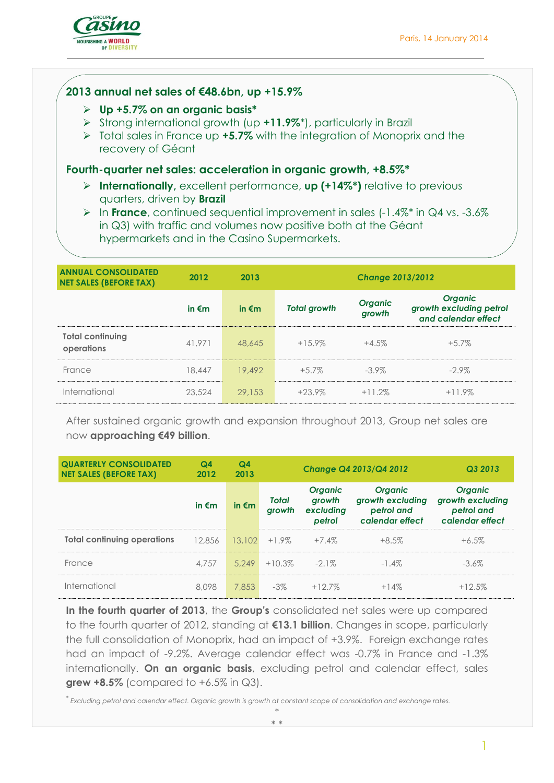1



# **2013 annual net sales of €48.6bn, up +15.9%**

- **Up +5.7% on an organic basis\***
- Strong international growth (up **+11.9%**\*), particularly in Brazil
- Total sales in France up **+5.7%** with the integration of Monoprix and the recovery of Géant

#### **Fourth-quarter net sales: acceleration in organic growth, +8.5%\***

 **Internationally,** excellent performance, **up (+14%\*)** relative to previous quarters, driven by **Brazil** 

**EX** In **France**, continued sequential improvement in sales (-1.4%<sup>\*</sup> in Q4 vs. -3.6%) in Q3) with traffic and volumes now positive both at the Géant hypermarkets and in the Casino Supermarkets.

| <b>ANNUAL CONSOLIDATED</b><br><b>NET SALES (BEFORE TAX)</b> | 2012            | 2013            | <b>Change 2013/2012</b> |                          |                                                                  |  |  |
|-------------------------------------------------------------|-----------------|-----------------|-------------------------|--------------------------|------------------------------------------------------------------|--|--|
|                                                             | in $\epsilon$ m | in $\epsilon$ m | <b>Total growth</b>     | <b>Organic</b><br>growth | <b>Organic</b><br>growth excluding petrol<br>and calendar effect |  |  |
| <b>Total continuing</b><br>operations                       | 41.971          | 48.645          | $+15.9\%$               | $+4.5%$                  | $+5.7\%$                                                         |  |  |
| France                                                      | 18.447          | 19.492          | $+5.7\%$                | $-3.9\%$                 | $-2.9\%$                                                         |  |  |
| International                                               | 23,524          | 29.153          | $+23.9\%$               | $+11.2%$                 | $+11.9\%$                                                        |  |  |

After sustained organic growth and expansion throughout 2013, Group net sales are now **approaching €49 billion**.

| <b>QUARTERLY CONSOLIDATED</b><br><b>NET SALES (BEFORE TAX)</b> | Q <sub>4</sub><br>2012 | Q <sub>4</sub><br>2013 |                        |                                                 | Change Q4 2013/Q4 2012                                              | Q3 2013                                                             |
|----------------------------------------------------------------|------------------------|------------------------|------------------------|-------------------------------------------------|---------------------------------------------------------------------|---------------------------------------------------------------------|
|                                                                | in $\epsilon$ m        | in $\epsilon$ m        | <b>Total</b><br>growth | <b>Organic</b><br>growth<br>excluding<br>petrol | <b>Organic</b><br>growth excluding<br>petrol and<br>calendar effect | <b>Organic</b><br>growth excluding<br>petrol and<br>calendar effect |
| <b>Total continuing operations</b>                             | 12.856                 | 13.102                 | $+1.9\%$               | $+7.4\%$                                        | $+8.5%$                                                             | $+6.5\%$                                                            |
| France                                                         | 4.757                  | 5.249                  | $+10.3\%$              | $-2.1\%$                                        | $-1.4\%$                                                            | $-3.6\%$                                                            |
| International                                                  | 8.098                  | 7.853                  | $-3\%$                 | $+12.7\%$                                       | $+14%$                                                              | $+12.5%$                                                            |

**In the fourth quarter of 2013**, the **Group's** consolidated net sales were up compared to the fourth quarter of 2012, standing at **€13.1 billion**. Changes in scope, particularly the full consolidation of Monoprix, had an impact of +3.9%. Foreign exchange rates had an impact of -9.2%. Average calendar effect was -0.7% in France and -1.3% internationally. **On an organic basis**, excluding petrol and calendar effect, sales **grew +8.5%** (compared to +6.5% in Q3).

*\* Excluding petrol and calendar effect. Organic growth is growth at constant scope of consolidation and exchange rates.*

\*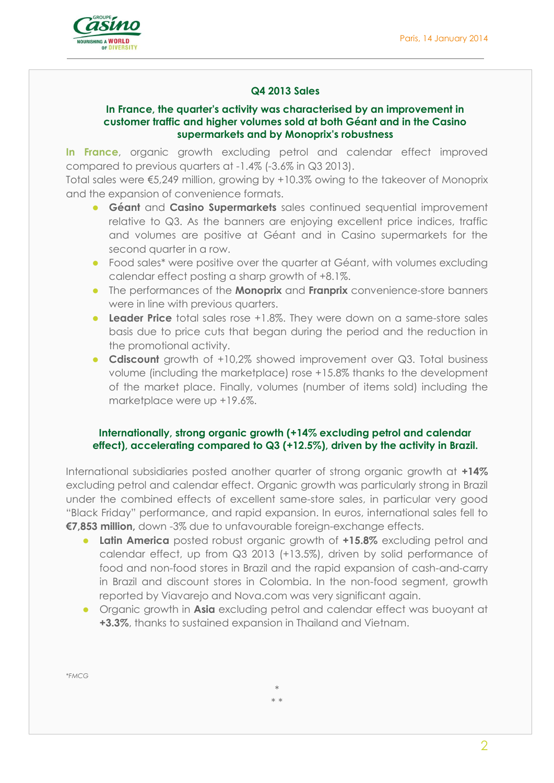

# **Q4 2013 Sales**

#### **In France, the quarter's activity was characterised by an improvement in customer traffic and higher volumes sold at both Géant and in the Casino supermarkets and by Monoprix's robustness**

**In France**, organic growth excluding petrol and calendar effect improved compared to previous quarters at -1.4% (-3.6% in Q3 2013).

Total sales were €5,249 million, growing by +10.3% owing to the takeover of Monoprix and the expansion of convenience formats.

- **Géant** and **Casino Supermarkets** sales continued sequential improvement relative to Q3. As the banners are enjoying excellent price indices, traffic and volumes are positive at Géant and in Casino supermarkets for the second quarter in a row.
- Food sales\* were positive over the quarter at Géant, with volumes excluding calendar effect posting a sharp growth of +8.1%.
- The performances of the **Monoprix** and **Franprix** convenience-store banners were in line with previous quarters.
- **Leader Price** total sales rose +1.8%. They were down on a same-store sales basis due to price cuts that began during the period and the reduction in the promotional activity.
- **Cdiscount** growth of +10,2% showed improvement over Q3. Total business volume (including the marketplace) rose +15.8% thanks to the development of the market place. Finally, volumes (number of items sold) including the marketplace were up +19.6%.

#### **Internationally, strong organic growth (+14% excluding petrol and calendar effect), accelerating compared to Q3 (+12.5%), driven by the activity in Brazil.**

International subsidiaries posted another quarter of strong organic growth at **+14%** excluding petrol and calendar effect. Organic growth was particularly strong in Brazil under the combined effects of excellent same-store sales, in particular very good "Black Friday" performance, and rapid expansion. In euros, international sales fell to **€7,853 million,** down -3% due to unfavourable foreign-exchange effects.

- **Latin America** posted robust organic growth of **+15.8%** excluding petrol and calendar effect, up from Q3 2013 (+13.5%), driven by solid performance of food and non-food stores in Brazil and the rapid expansion of cash-and-carry in Brazil and discount stores in Colombia. In the non-food segment, growth reported by Viavarejo and Nova.com was very significant again.
- Organic growth in **Asia** excluding petrol and calendar effect was buoyant at **+3.3%**, thanks to sustained expansion in Thailand and Vietnam.

*\*FMCG*

\* \* \*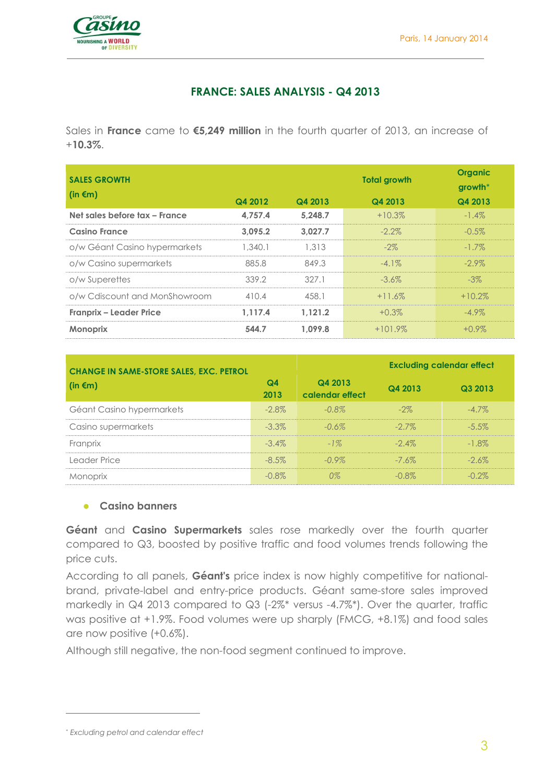

# **FRANCE: SALES ANALYSIS - Q4 2013**

Sales in **France** came to **€5,249 million** in the fourth quarter of 2013, an increase of +**10.3%**.

| <b>SALES GROWTH</b>            |         |         | <b>Total growth</b> | <b>Organic</b><br>$growth*$ |  |
|--------------------------------|---------|---------|---------------------|-----------------------------|--|
| (in $\epsilon$ m)              | Q4 2012 | Q4 2013 | Q4 2013             | Q4 2013                     |  |
| Net sales before tax - France  | 4.757.4 | 5.248.7 | $+10.3%$            | $-1.4\%$                    |  |
| <b>Casino France</b>           | 3.095.2 | 3.027.7 | $-2.2\%$            | $-0.5\%$                    |  |
| o/w Géant Casino hypermarkets  | 1.340.1 | 1.313   | $-2\%$              | $-1.7\%$                    |  |
| o/w Casino supermarkets        | 885.8   | 849.3   | $-4.1\%$            | $-2.9\%$                    |  |
| o/w Superettes                 | 339.2   | 327.1   | $-3.6\%$            | $-3\%$                      |  |
| o/w Cdiscount and MonShowroom  | 410.4   | 458.1   | $+11.6\%$           | $+10.2\%$                   |  |
| <b>Franprix - Leader Price</b> | 1.117.4 | 1.121.2 | $+0.3\%$            | $-4.9\%$                    |  |
| <b>Monoprix</b>                | 544.7   | 1.099.8 | $+101.9\%$          | $+0.9\%$                    |  |

| <b>CHANGE IN SAME-STORE SALES, EXC. PETROL</b> |            |                            |          | <b>Excluding calendar effect</b> |
|------------------------------------------------|------------|----------------------------|----------|----------------------------------|
| (in €m)                                        | Q4<br>2013 | Q4 2013<br>calendar effect | Q4 2013  | Q3 2013                          |
| Géant Casino hypermarkets                      | $-2.8\%$   | $-0.8\%$                   | $-2\%$   | $-4.7\%$                         |
| Casino supermarkets                            | $-3.3\%$   | $-0.6\%$                   | $-27\%$  | $-5.5\%$                         |
| Franprix                                       | $-3.4\%$   | $-1\%$                     | $-2.4\%$ | $-1.8\%$                         |
| Leader Price                                   | $-8.5\%$   | $-0.9\%$                   | $-7.6\%$ | $-26\%$                          |
| Monoprix                                       | $-0.8\%$   | 0%                         | -በ ጸጁ    | - 2%                             |

#### **Casino banners**

**Géant** and **Casino Supermarkets** sales rose markedly over the fourth quarter compared to Q3, boosted by positive traffic and food volumes trends following the price cuts.

According to all panels, **Géant's** price index is now highly competitive for nationalbrand, private-label and entry-price products. Géant same-store sales improved markedly in Q4 2013 compared to Q3 (-2%\* versus -4.7%\*). Over the quarter, traffic was positive at +1.9%. Food volumes were up sharply (FMCG, +8.1%) and food sales are now positive (+0.6%).

Although still negative, the non-food segment continued to improve.

 $\overline{a}$ 

<sup>\*</sup> *Excluding petrol and calendar effect*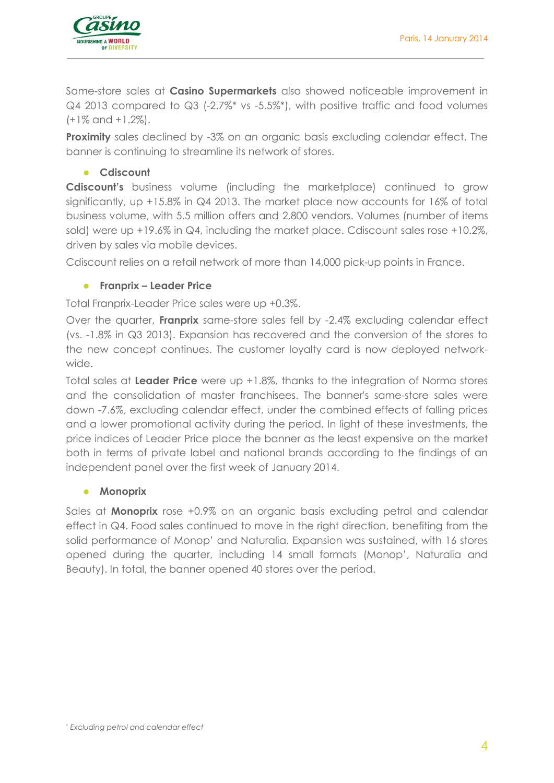

Same-store sales at **Casino Supermarkets** also showed noticeable improvement in Q4 2013 compared to Q3 (-2.7%\* vs -5.5%\*), with positive traffic and food volumes (+1% and +1.2%).

**Proximity** sales declined by -3% on an organic basis excluding calendar effect. The banner is continuing to streamline its network of stores.

# **Cdiscount**

**Cdiscount's** business volume (including the marketplace) continued to grow significantly, up +15.8% in Q4 2013. The market place now accounts for 16% of total business volume, with 5.5 million offers and 2,800 vendors. Volumes (number of items sold) were up +19.6% in Q4, including the market place. Cdiscount sales rose +10.2%, driven by sales via mobile devices.

Cdiscount relies on a retail network of more than 14,000 pick-up points in France.

# **Franprix – Leader Price**

Total Franprix-Leader Price sales were up +0.3%.

Over the quarter, **Franprix** same-store sales fell by -2.4% excluding calendar effect (vs. -1.8% in Q3 2013). Expansion has recovered and the conversion of the stores to the new concept continues. The customer loyalty card is now deployed networkwide.

Total sales at **Leader Price** were up +1.8%, thanks to the integration of Norma stores and the consolidation of master franchisees. The banner's same-store sales were down -7.6%, excluding calendar effect, under the combined effects of falling prices and a lower promotional activity during the period. In light of these investments, the price indices of Leader Price place the banner as the least expensive on the market both in terms of private label and national brands according to the findings of an independent panel over the first week of January 2014.

#### **Monoprix**

Sales at **Monoprix** rose +0.9% on an organic basis excluding petrol and calendar effect in Q4. Food sales continued to move in the right direction, benefiting from the solid performance of Monop' and Naturalia. Expansion was sustained, with 16 stores opened during the quarter, including 14 small formats (Monop', Naturalia and Beauty). In total, the banner opened 40 stores over the period.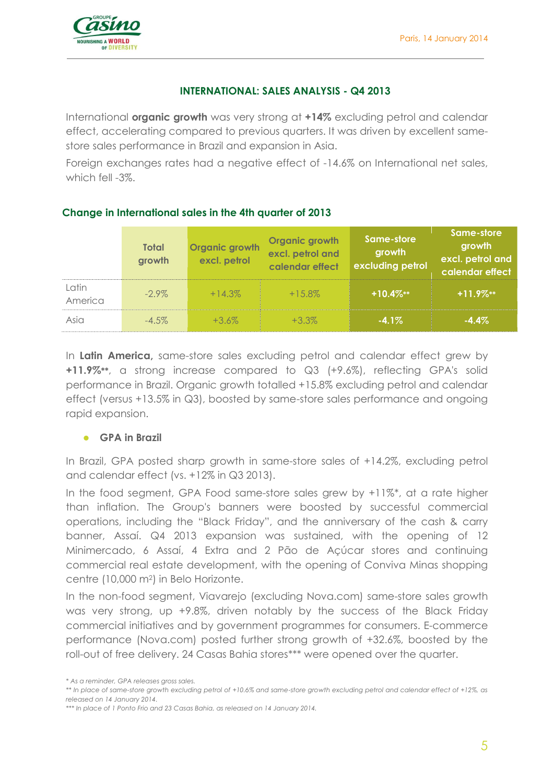

#### **INTERNATIONAL: SALES ANALYSIS - Q4 2013**

International **organic growth** was very strong at **+14%** excluding petrol and calendar effect, accelerating compared to previous quarters. It was driven by excellent samestore sales performance in Brazil and expansion in Asia.

Foreign exchanges rates had a negative effect of -14.6% on International net sales, which fell -3%.

# **Change in International sales in the 4th quarter of 2013**

|                  | <b>Total</b><br>growth | <b>Organic growth</b><br>excl. petrol | Organic growth<br>excl. petrol and<br>calendar effect | Same-store<br>growth<br>excluding petrol | Same-store<br>growth<br>excl. petrol and<br>calendar effect |
|------------------|------------------------|---------------------------------------|-------------------------------------------------------|------------------------------------------|-------------------------------------------------------------|
| Latin<br>America | $-2.9\%$               | $+14.3\%$                             | $+15.8\%$                                             | $+10.4\%**$                              | $+11.9\%**$                                                 |
| Asia             | $-4.5\%$               | $+3.6\%$                              | $+3.3\%$                                              | $-4.1%$                                  | $-4.4\%$                                                    |

In **Latin America,** same-store sales excluding petrol and calendar effect grew by **+11.9%\*\***, a strong increase compared to Q3 (+9.6%), reflecting GPA's solid performance in Brazil. Organic growth totalled +15.8% excluding petrol and calendar effect (versus +13.5% in Q3), boosted by same-store sales performance and ongoing rapid expansion.

#### **GPA in Brazil**

In Brazil, GPA posted sharp growth in same-store sales of +14.2%, excluding petrol and calendar effect (vs. +12% in Q3 2013).

In the food segment, GPA Food same-store sales grew by +11%\*, at a rate higher than inflation. The Group's banners were boosted by successful commercial operations, including the "Black Friday", and the anniversary of the cash & carry banner, Assaí. Q4 2013 expansion was sustained, with the opening of 12 Minimercado, 6 Assaí, 4 Extra and 2 Pão de Açúcar stores and continuing commercial real estate development, with the opening of Conviva Minas shopping centre (10,000 m2) in Belo Horizonte.

In the non-food segment, Viavarejo (excluding Nova.com) same-store sales growth was very strong, up +9.8%, driven notably by the success of the Black Friday commercial initiatives and by government programmes for consumers. E-commerce performance (Nova.com) posted further strong growth of +32.6%, boosted by the roll-out of free delivery. 24 Casas Bahia stores\*\*\* were opened over the quarter.

*\*\*\* In place of 1 Ponto Frio and 23 Casas Bahia, as released on 14 January 2014.*

*<sup>\*</sup> As a reminder, GPA releases gross sales.*

*<sup>\*\*</sup> In place of same-store growth excluding petrol of +10.6% and same-store growth excluding petrol and calendar effect of +12%, as released on 14 January 2014.*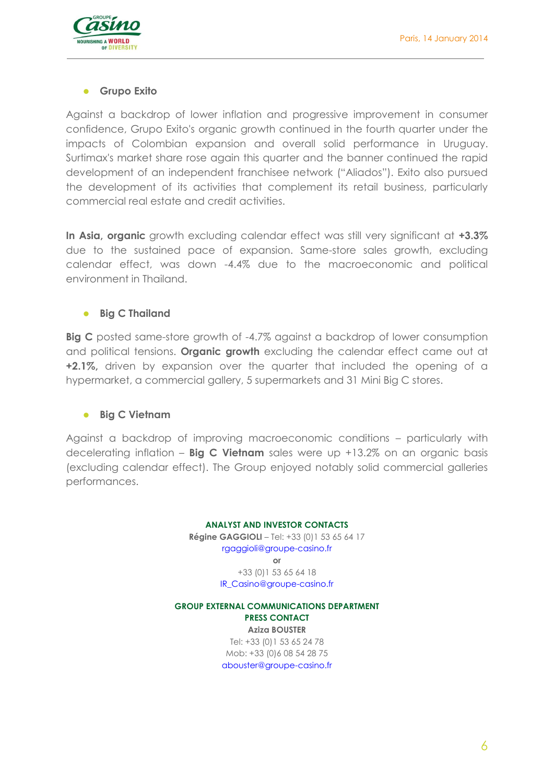

#### **Grupo Exito**

Against a backdrop of lower inflation and progressive improvement in consumer confidence, Grupo Exito's organic growth continued in the fourth quarter under the impacts of Colombian expansion and overall solid performance in Uruguay. Surtimax's market share rose again this quarter and the banner continued the rapid development of an independent franchisee network ("Aliados"). Exito also pursued the development of its activities that complement its retail business, particularly commercial real estate and credit activities.

**In Asia, organic** growth excluding calendar effect was still very significant at **+3.3%**  due to the sustained pace of expansion. Same-store sales growth, excluding calendar effect, was down -4.4% due to the macroeconomic and political environment in Thailand.

#### **Big C Thailand**

**Big C** posted same-store growth of -4.7% against a backdrop of lower consumption and political tensions. **Organic growth** excluding the calendar effect came out at **+2.1%,** driven by expansion over the quarter that included the opening of a hypermarket, a commercial gallery, 5 supermarkets and 31 Mini Big C stores.

#### **Big C Vietnam**

Against a backdrop of improving macroeconomic conditions – particularly with decelerating inflation – **Big C Vietnam** sales were up +13.2% on an organic basis (excluding calendar effect). The Group enjoyed notably solid commercial galleries performances.

# **ANALYST AND INVESTOR CONTACTS Régine GAGGIOLI** - Tel: +33 (0)1 53 65 64 17 [rgaggioli@groupe-casino.fr](mailto:rgaggioli@groupe-casino.fr) **or** +33 (0)1 53 65 64 18 [IR\\_Casino@groupe-casino.fr](mailto:IR_Casino@groupe-casino.fr)

**GROUP EXTERNAL COMMUNICATIONS DEPARTMENT PRESS CONTACT Aziza BOUSTER**  Tel: +33 (0)1 53 65 24 78 Mob: +33 (0)6 08 54 28 75 [abouster@groupe-casino.fr](mailto:abouster@groupe-casino.fr)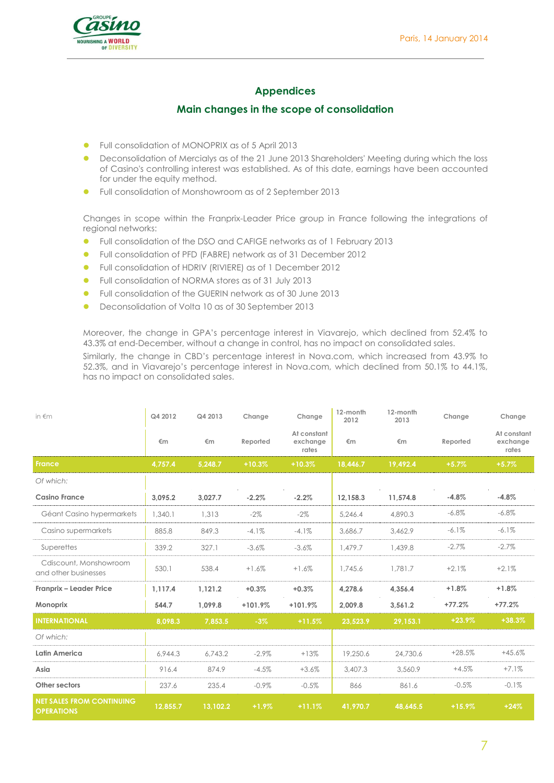

# **Appendices**

# **Main changes in the scope of consolidation**

- Full consolidation of MONOPRIX as of 5 April 2013
- Deconsolidation of Mercialys as of the 21 June 2013 Shareholders' Meeting during which the loss of Casino's controlling interest was established. As of this date, earnings have been accounted for under the equity method.
- **•** Full consolidation of Monshowroom as of 2 September 2013

Changes in scope within the Franprix-Leader Price group in France following the integrations of regional networks:

- Full consolidation of the DSO and CAFIGE networks as of 1 February 2013
- Full consolidation of PFD (FABRE) network as of 31 December 2012
- Full consolidation of HDRIV (RIVIERE) as of 1 December 2012
- Full consolidation of NORMA stores as of 31 July 2013
- Full consolidation of the GUERIN network as of 30 June 2013
- Deconsolidation of Volta 10 as of 30 September 2013

Moreover, the change in GPA's percentage interest in Viavarejo, which declined from 52.4% to 43.3% at end-December, without a change in control, has no impact on consolidated sales. Similarly, the change in CBD's percentage interest in Nova.com, which increased from 43.9% to 52.3%, and in Viavarejo's percentage interest in Nova.com, which declined from 50.1% to 44.1%, has no impact on consolidated sales.

| in $\notin$ m                                         | Q4 2012  | Q4 2013  | Change    | Change                           | 12-month<br>2012 | 12-month<br>2013 | Change   | Change                           |
|-------------------------------------------------------|----------|----------|-----------|----------------------------------|------------------|------------------|----------|----------------------------------|
|                                                       | €m       | €m       | Reported  | At constant<br>exchange<br>rates | €m               | €m               | Reported | At constant<br>exchange<br>rates |
| <b>France</b>                                         | 4,757.4  | 5,248.7  | $+10.3%$  | $+10.3%$                         | 18,446.7         | 19,492.4         | $+5.7%$  | $+5.7%$                          |
| Of which:                                             |          |          |           |                                  |                  |                  |          |                                  |
| <b>Casino France</b>                                  | 3,095.2  | 3,027.7  | $-2.2%$   | $-2.2%$                          | 12,158.3         | 11,574.8         | $-4.8%$  | $-4.8%$                          |
| Géant Casino hypermarkets                             | 1,340.1  | 1,313    | $-2\%$    | $-2\%$                           | 5.246.4          | 4,890.3          | $-6.8\%$ | $-6.8\%$                         |
| Casino supermarkets                                   | 885.8    | 849.3    | $-4.1%$   | $-4.1%$                          | 3,686.7          | 3,462.9          | $-6.1\%$ | $-6.1\%$                         |
| Superettes                                            | 339.2    | 327.1    | $-3.6%$   | $-3.6%$                          | 1.479.7          | 1,439.8          | $-2.7%$  | $-2.7%$                          |
| Cdiscount, Monshowroom<br>and other businesses        | 530.1    | 538.4    | $+1.6%$   | $+1.6%$                          | 1,745.6          | 1,781.7          | $+2.1%$  | $+2.1%$                          |
| Franprix - Leader Price                               | 1.117.4  | 1,121.2  | $+0.3%$   | $+0.3%$                          | 4,278.6          | 4,356.4          | $+1.8%$  | $+1.8%$                          |
| <b>Monoprix</b>                                       | 544.7    | 1.099.8  | $+101.9%$ | $+101.9%$                        | 2,009.8          | 3,561.2          | $+77.2%$ | $+77.2%$                         |
| <b>INTERNATIONAL</b>                                  | 8,098.3  | 7,853.5  | $-3%$     | $+11.5%$                         | 23,523.9         | 29,153.1         | $+23.9%$ | $+38.3%$                         |
| Of which:                                             |          |          |           |                                  |                  |                  |          |                                  |
| Latin America                                         | 6.944.3  | 6.743.2  | $-2.9\%$  | $+13%$                           | 19,250.6         | 24,730.6         | $+28.5%$ | $+45.6%$                         |
| Asia                                                  | 916.4    | 874.9    | $-4.5%$   | $+3.6%$                          | 3,407.3          | 3,560.9          | $+4.5%$  | $+7.1%$                          |
| Other sectors                                         | 237.6    | 235.4    | $-0.9\%$  | $-0.5%$                          | 866              | 861.6            | $-0.5%$  | $-0.1%$                          |
| <b>NET SALES FROM CONTINUING</b><br><b>OPERATIONS</b> | 12,855.7 | 13,102.2 | $+1.9%$   | $+11.1%$                         | 41,970.7         | 48.645.5         | $+15.9%$ | $+24%$                           |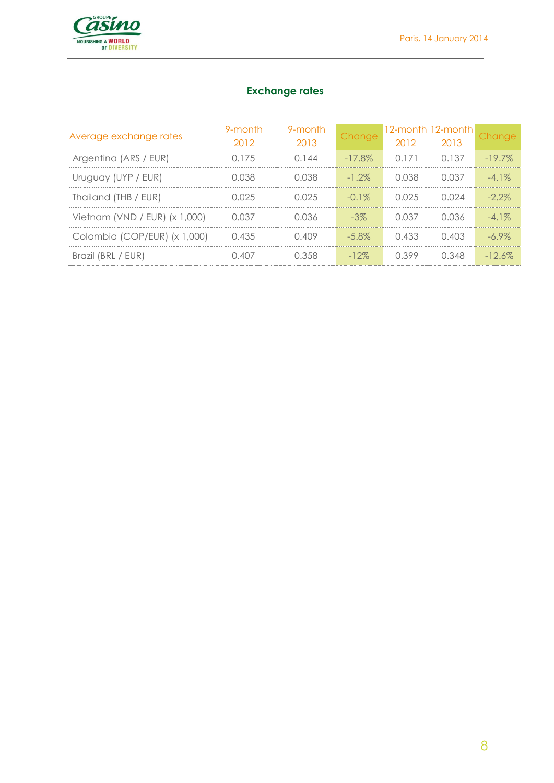

# **Exchange rates**

| Average exchange rates          | 9-month<br>2012 | 9-month<br>2013 | <b>Change</b> | 2012          | 12-month 12-month<br>2013 | Change    |
|---------------------------------|-----------------|-----------------|---------------|---------------|---------------------------|-----------|
| Argentina (ARS / EUR)           | O 175           | 0144            | $-17.8\%$     | 0 1 7 1       | 0.137                     | $-197\%$  |
| Uruguay (UYP / EUR)             | LO38            | i 0.38          | $-1.2\%$      | N N38         | N N37                     | $-41\%$   |
| Thailand (THB / EUR)            | N N 25          | N N 25          | $-0.1\%$      | N N 25        | ገ በ24                     | $-2.2\%$  |
| Vietnam (VND / EUR) $(x 1,000)$ | N N37           | N 036           | $-3\%$        | ์ <b>ก</b> 37 | በ በ36                     | $-41\%$   |
| Colombia (COP/EUR) (x 1,000)    | 0.435           | 0.409           | $-5.8\%$      | 0.433         | 0.403                     | $-69\%$   |
| Brazil (BRL / EUR)              | ) 407           | । २५८           | $-12\%$       | n 399         | 0.348                     | $-12.6\%$ |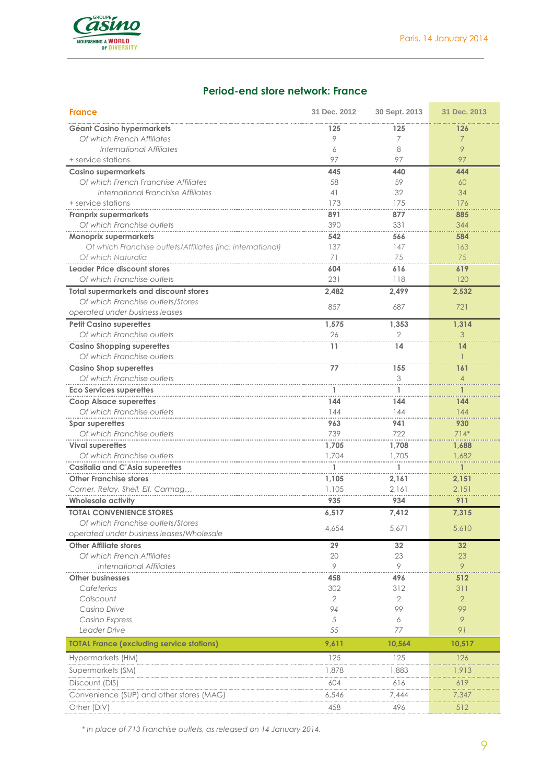

# **Period-end store network: France**

| <b>France</b>                                              | 31 Dec. 2012 | 30 Sept. 2013 | 31 Dec. 2013   |
|------------------------------------------------------------|--------------|---------------|----------------|
| Géant Casino hypermarkets                                  | 125          | 125           | 126            |
| Of which French Affiliates                                 | 9            | 7             | $\overline{7}$ |
| International Affiliates                                   | 6            | 8             | 9              |
| + service stations                                         | 97           | 97            | 97             |
| <b>Casino supermarkets</b>                                 | 445          | 440           | 444            |
| Of which French Franchise Affiliates                       | 58           | 59            | 60             |
| International Franchise Affiliates                         | 41           | 32            | 34             |
| + service stations                                         | 173          | 175           | 176            |
| <b>Franprix supermarkets</b>                               | 891          | 877           | 885            |
| Of which Franchise outlets                                 | 390          | 331           | 344            |
| Monoprix supermarkets                                      | 542          | 566           | 584            |
| Of which Franchise outlets/Affiliates (inc. international) | 137          | 147           | 163            |
| Of which Naturalia                                         | 71           | 75            | 75             |
| Leader Price discount stores                               | 604          | 616           | 619            |
| Of which Franchise outlets                                 | 231          | 118           | 120            |
| <b>Total supermarkets and discount stores</b>              | 2,482        | 2,499         | 2,532          |
| Of which Franchise outlets/Stores                          |              | 687           |                |
| operated under business leases                             | 857          |               | 721            |
| <b>Petit Casino superettes</b>                             | 1,575        | 1,353         | 1,314          |
| Of which Franchise outlets                                 | 26           | 2             | 3              |
| <b>Casino Shopping superettes</b>                          | 11           | 14            | 14             |
| Of which Franchise outlets                                 |              |               |                |
| <b>Casino Shop superettes</b>                              | 77           | 155           | 161            |
| Of which Franchise outlets                                 |              | 3             | $\overline{A}$ |
| <b>Eco Services superettes</b>                             |              |               |                |
| <b>Coop Alsace superettes</b>                              | 144          | 144           | 144            |
| Of which Franchise outlets                                 | 144          | 144           | 144            |
| Spar superettes                                            | 963          | 941           | 930            |
| Of which Franchise outlets                                 | 739          | 722           | $714*$         |
| <b>Vival superettes</b>                                    | 1,705        | 1,708         | 1,688          |
| Of which Franchise outlets                                 | 1,704        | 1,705         | 1,682          |
| <b>Casitalia and C'Asia superettes</b>                     |              |               |                |
| <b>Other Franchise stores</b>                              | 1,105        | 2,161         | 2,151          |
| Corner, Relay, Shell, Elf, Carmag                          | 1,105        | 2.161         | 2.151          |
| <b>Wholesale activity</b>                                  | 935          | 934           | 911            |
| <b>TOTAL CONVENIENCE STORES</b>                            | 6,517        | 7,412         | 7,315          |
| Of which Franchise outlets/Stores                          |              |               |                |
| operated under business leases/Wholesale                   | 4,654        | 5,671         | 5,610          |
| <b>Other Affiliate stores</b>                              | 29           | 32            | 32             |
| Of which French Affiliates                                 | 20           | 23            | 23             |
| <b>International Affiliates</b>                            | 9            | 9             | 9              |
| <b>Other businesses</b>                                    | 458          | 496           | 512            |
| Cafeterias                                                 | 302          | 312           | 311            |
| Cdiscount                                                  | 2            | $\mathbf{2}$  | $\overline{2}$ |
| Casino Drive                                               | 94           | 99            | 99             |
| Casino Express                                             | 5            | 6             | 9              |
| Leader Drive                                               | 55           | 77            | 91             |
| <b>TOTAL France (excluding service stations)</b>           | 9,611        | 10,564        | 10,517         |
| Hypermarkets (HM)                                          | 125          | 125           | 126            |
| Supermarkets (SM)                                          | 1,878        | 1,883         | 1,913          |
| Discount (DIS)                                             | 604          | 616           | 619            |
| Convenience (SUP) and other stores (MAG)                   | 6,546        | 7,444         | 7,347          |
|                                                            |              |               |                |
| Other (DIV)                                                | 458          | 496           | 512            |

*\* In place of 713 Franchise outlets, as released on 14 January 2014.*